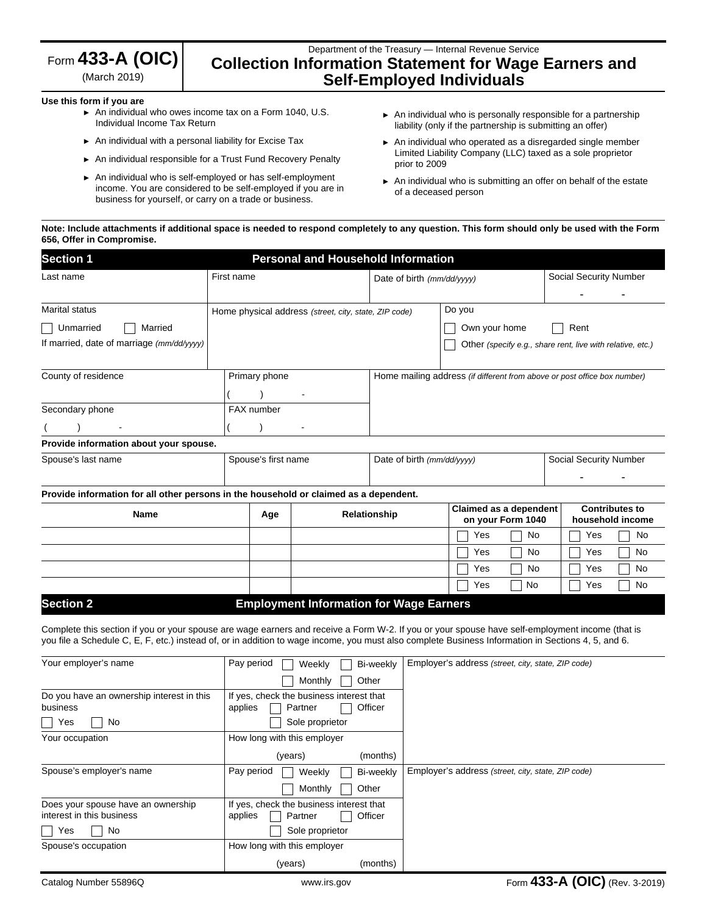|  | Form $433$ -A (OIC) |  |
|--|---------------------|--|
|  |                     |  |

(March 2019)

# Department of the Treasury — Internal Revenue Service **Collection Information Statement for Wage Earners and Self-Employed Individuals**

#### **Use this form if you are**

- ► An individual who owes income tax on a Form 1040, U.S. Individual Income Tax Return
- ► An individual with a personal liability for Excise Tax
- ► An individual responsible for a Trust Fund Recovery Penalty
- ► An individual who is self-employed or has self-employment income. You are considered to be self-employed if you are in business for yourself, or carry on a trade or business.
- ► An individual who is personally responsible for a partnership liability (only if the partnership is submitting an offer)
- ► An individual who operated as a disregarded single member Limited Liability Company (LLC) taxed as a sole proprietor prior to 2009
- ► An individual who is submitting an offer on behalf of the estate of a deceased person

## **Note: Include attachments if additional space is needed to respond completely to any question. This form should only be used with the Form 656, Offer in Compromise.**

| <b>Section 1</b>                                                                      | <b>Personal and Household Information</b> |                                                       |                            |                                                                          |                                                                                          |  |  |
|---------------------------------------------------------------------------------------|-------------------------------------------|-------------------------------------------------------|----------------------------|--------------------------------------------------------------------------|------------------------------------------------------------------------------------------|--|--|
| Last name                                                                             | First name                                |                                                       | Date of birth (mm/dd/yyyy) |                                                                          | Social Security Number                                                                   |  |  |
|                                                                                       |                                           |                                                       |                            |                                                                          |                                                                                          |  |  |
| <b>Marital status</b>                                                                 |                                           | Home physical address (street, city, state, ZIP code) |                            | Do you                                                                   |                                                                                          |  |  |
| Married<br>Unmarried                                                                  |                                           |                                                       |                            | Own your home                                                            | Rent                                                                                     |  |  |
| If married, date of marriage (mm/dd/yyyy)                                             |                                           |                                                       |                            |                                                                          | Other (specify e.g., share rent, live with relative, etc.)                               |  |  |
| County of residence                                                                   | Primary phone                             |                                                       |                            | Home mailing address (if different from above or post office box number) |                                                                                          |  |  |
|                                                                                       |                                           |                                                       |                            |                                                                          |                                                                                          |  |  |
| Secondary phone                                                                       |                                           | FAX number                                            |                            |                                                                          |                                                                                          |  |  |
|                                                                                       |                                           |                                                       |                            |                                                                          |                                                                                          |  |  |
| Provide information about your spouse.                                                |                                           |                                                       |                            |                                                                          |                                                                                          |  |  |
| Spouse's last name                                                                    |                                           | Spouse's first name                                   |                            | Date of birth (mm/dd/yyyy)                                               | Social Security Number                                                                   |  |  |
|                                                                                       |                                           |                                                       |                            |                                                                          |                                                                                          |  |  |
| Provide information for all other persons in the household or claimed as a dependent. |                                           |                                                       |                            |                                                                          |                                                                                          |  |  |
| <b>Name</b><br>Age                                                                    |                                           |                                                       | Relationship               |                                                                          | Claimed as a dependent<br><b>Contributes to</b><br>on your Form 1040<br>household income |  |  |
|                                                                                       |                                           |                                                       |                            | <b>No</b><br>Yes                                                         | <b>No</b><br>Yes                                                                         |  |  |
|                                                                                       |                                           |                                                       |                            | No<br>Yes                                                                | No<br>Yes                                                                                |  |  |
|                                                                                       |                                           |                                                       |                            | <b>No</b><br>Yes                                                         | No<br>Yes                                                                                |  |  |
|                                                                                       |                                           |                                                       |                            | No<br>Yes                                                                | <b>No</b><br>Yes                                                                         |  |  |
| <b>Section 2</b>                                                                      |                                           | <b>Employment Information for Wage Earners</b>        |                            |                                                                          |                                                                                          |  |  |

Complete this section if you or your spouse are wage earners and receive a Form W-2. If you or your spouse have self-employment income (that is you file a Schedule C, E, F, etc.) instead of, or in addition to wage income, you must also complete Business Information in Sections 4, 5, and 6.

| Your employer's name                      | Pay period<br>Bi-weekly<br>Weekly        | Employer's address (street, city, state, ZIP code) |
|-------------------------------------------|------------------------------------------|----------------------------------------------------|
|                                           | Other<br>Monthly                         |                                                    |
| Do you have an ownership interest in this | If yes, check the business interest that |                                                    |
| business                                  | applies<br>Officer<br>Partner            |                                                    |
| No<br>Yes                                 | Sole proprietor                          |                                                    |
| Your occupation                           | How long with this employer              |                                                    |
|                                           | (months)<br>(years)                      |                                                    |
| Spouse's employer's name                  | Pay period<br>Weekly<br>Bi-weekly        | Employer's address (street, city, state, ZIP code) |
|                                           | Other<br>Monthly                         |                                                    |
| Does your spouse have an ownership        | If yes, check the business interest that |                                                    |
| interest in this business                 | applies<br>Officer<br>Partner            |                                                    |
| No<br>Yes                                 | Sole proprietor                          |                                                    |
| Spouse's occupation                       | How long with this employer              |                                                    |
|                                           | (months)<br>(years)                      |                                                    |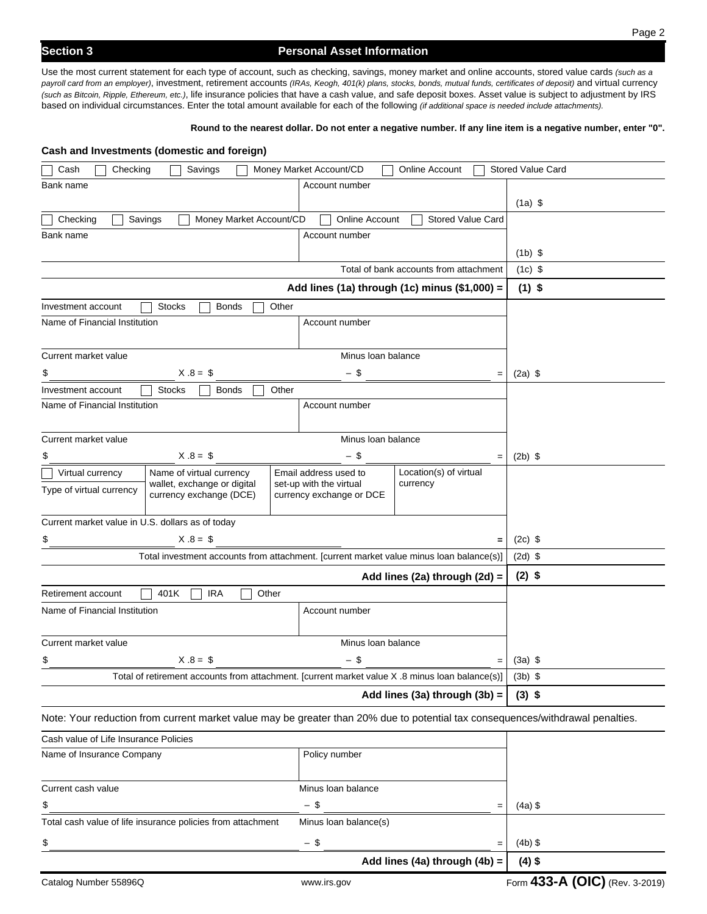Use the most current statement for each type of account, such as checking, savings, money market and online accounts, stored value cards *(such as a payroll card from an employer)*, investment, retirement accounts *(IRAs, Keogh, 401(k) plans, stocks, bonds, mutual funds, certificates of deposit)* and virtual currency *(such as Bitcoin, Ripple, Ethereum, etc.)*, life insurance policies that have a cash value, and safe deposit boxes. Asset value is subject to adjustment by IRS based on individual circumstances. Enter the total amount available for each of the following *(if additional space is needed include attachments).* 

#### **Round to the nearest dollar. Do not enter a negative number. If any line item is a negative number, enter "0".**

| Cash and Investments (domestic and foreign)                        |                               |                         |                          |                                                                                                 |                                                                                                                                |
|--------------------------------------------------------------------|-------------------------------|-------------------------|--------------------------|-------------------------------------------------------------------------------------------------|--------------------------------------------------------------------------------------------------------------------------------|
| Checking<br>Cash                                                   | Savings                       |                         | Money Market Account/CD  | <b>Online Account</b>                                                                           | <b>Stored Value Card</b>                                                                                                       |
| Bank name                                                          |                               |                         | Account number           |                                                                                                 |                                                                                                                                |
|                                                                    |                               |                         |                          |                                                                                                 | $(1a)$ \$                                                                                                                      |
| Checking<br>Savings                                                |                               | Money Market Account/CD | <b>Online Account</b>    | <b>Stored Value Card</b>                                                                        |                                                                                                                                |
| Bank name                                                          |                               |                         | Account number           |                                                                                                 |                                                                                                                                |
|                                                                    |                               |                         |                          |                                                                                                 | $(1b)$ \$                                                                                                                      |
|                                                                    |                               |                         |                          | Total of bank accounts from attachment                                                          | $(1c)$ \$                                                                                                                      |
|                                                                    |                               |                         |                          | Add lines (1a) through (1c) minus (\$1,000) =                                                   | $(1)$ \$                                                                                                                       |
| Investment account                                                 | <b>Stocks</b><br><b>Bonds</b> | Other                   |                          |                                                                                                 |                                                                                                                                |
| Name of Financial Institution                                      |                               |                         | Account number           |                                                                                                 |                                                                                                                                |
|                                                                    |                               |                         |                          |                                                                                                 |                                                                                                                                |
| Current market value                                               |                               |                         | Minus Ioan balance       |                                                                                                 |                                                                                                                                |
| \$                                                                 | $X.8 = $$                     |                         | - \$                     | $=$                                                                                             | $(2a)$ \$                                                                                                                      |
| Investment account<br>Name of Financial Institution                | <b>Stocks</b><br>Bonds        | Other                   |                          |                                                                                                 |                                                                                                                                |
|                                                                    |                               |                         | Account number           |                                                                                                 |                                                                                                                                |
| Current market value                                               |                               |                         | Minus Ioan balance       |                                                                                                 |                                                                                                                                |
| \$                                                                 | $X.8 = $$                     |                         | - \$                     |                                                                                                 | $(2b)$ \$                                                                                                                      |
| Virtual currency                                                   | Name of virtual currency      |                         | Email address used to    | $=$<br>Location(s) of virtual                                                                   |                                                                                                                                |
| Type of virtual currency                                           | wallet, exchange or digital   |                         | set-up with the virtual  | currency                                                                                        |                                                                                                                                |
|                                                                    | currency exchange (DCE)       |                         | currency exchange or DCE |                                                                                                 |                                                                                                                                |
| Current market value in U.S. dollars as of today                   |                               |                         |                          |                                                                                                 |                                                                                                                                |
| \$                                                                 | $X.8 = $$                     |                         |                          | $=$                                                                                             | $(2c)$ \$                                                                                                                      |
|                                                                    |                               |                         |                          | Total investment accounts from attachment. [current market value minus loan balance(s)]         | $(2d)$ \$                                                                                                                      |
|                                                                    |                               |                         |                          | Add lines (2a) through (2d) =                                                                   | $(2)$ \$                                                                                                                       |
| Retirement account                                                 | 401K<br><b>IRA</b>            | Other                   |                          |                                                                                                 |                                                                                                                                |
| Name of Financial Institution                                      |                               |                         | Account number           |                                                                                                 |                                                                                                                                |
|                                                                    |                               |                         |                          |                                                                                                 |                                                                                                                                |
| Current market value<br>Minus Ioan balance                         |                               |                         |                          |                                                                                                 |                                                                                                                                |
| $X .8 = $$<br>- \$                                                 |                               |                         |                          |                                                                                                 | $(3a)$ \$                                                                                                                      |
|                                                                    |                               |                         |                          | Total of retirement accounts from attachment. [current market value X .8 minus loan balance(s)] | $(3b)$ \$                                                                                                                      |
|                                                                    |                               |                         |                          | Add lines (3a) through (3b) =                                                                   | $(3)$ \$                                                                                                                       |
|                                                                    |                               |                         |                          |                                                                                                 | Note: Your reduction from current market value may be greater than 20% due to potential tax consequences/withdrawal penalties. |
|                                                                    |                               |                         |                          |                                                                                                 |                                                                                                                                |
| Cash value of Life Insurance Policies<br>Name of Insurance Company |                               |                         | Policy number            |                                                                                                 |                                                                                                                                |
|                                                                    |                               |                         |                          |                                                                                                 |                                                                                                                                |
| Current cash value                                                 |                               |                         | Minus Ioan balance       |                                                                                                 |                                                                                                                                |
| $-$ \$<br>\$<br>$=$                                                |                               |                         |                          | $(4a)$ \$                                                                                       |                                                                                                                                |
| Total cash value of life insurance policies from attachment        |                               |                         | Minus Ioan balance(s)    |                                                                                                 |                                                                                                                                |
|                                                                    |                               |                         |                          |                                                                                                 |                                                                                                                                |
| \$                                                                 |                               |                         | $-$ \$                   | $=$                                                                                             | $(4b)$ \$                                                                                                                      |
|                                                                    |                               |                         |                          | Add lines (4a) through (4b) =                                                                   | $(4)$ \$                                                                                                                       |
| Catalog Number 55896Q                                              |                               |                         | www.irs.gov              |                                                                                                 | Form 433-A (OIC) (Rev. 3-2019)                                                                                                 |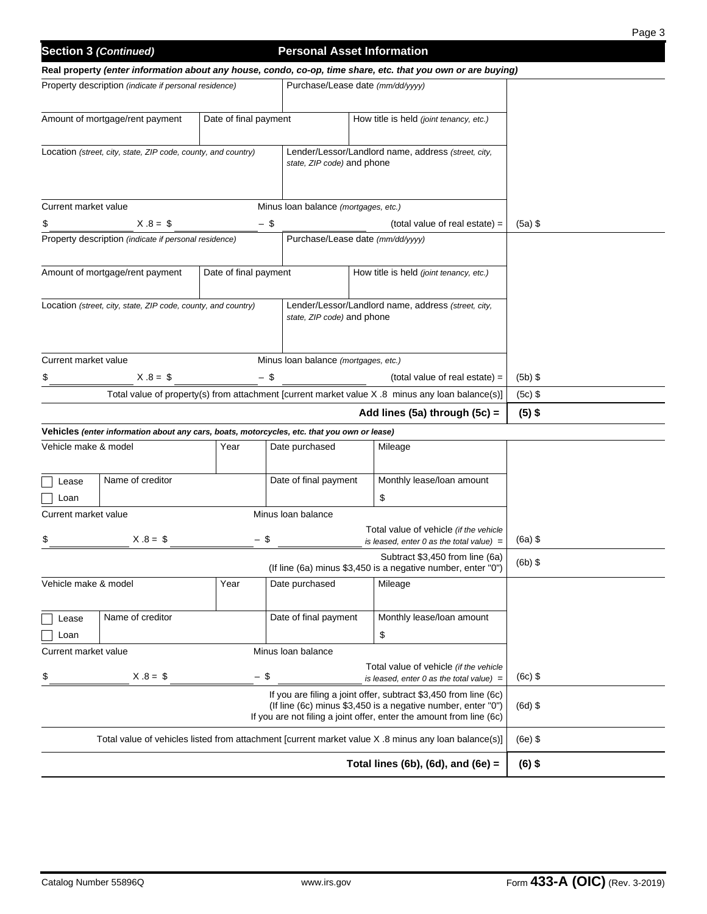|                                                                                                                                                                                                          |                                                                                             |                                                                                                      |                                      |  |                                                                                                              | Page 3    |
|----------------------------------------------------------------------------------------------------------------------------------------------------------------------------------------------------------|---------------------------------------------------------------------------------------------|------------------------------------------------------------------------------------------------------|--------------------------------------|--|--------------------------------------------------------------------------------------------------------------|-----------|
|                                                                                                                                                                                                          | <b>Section 3 (Continued)</b>                                                                |                                                                                                      | <b>Personal Asset Information</b>    |  |                                                                                                              |           |
|                                                                                                                                                                                                          |                                                                                             |                                                                                                      |                                      |  | Real property (enter information about any house, condo, co-op, time share, etc. that you own or are buying) |           |
|                                                                                                                                                                                                          | Property description (indicate if personal residence)                                       |                                                                                                      | Purchase/Lease date (mm/dd/yyyy)     |  |                                                                                                              |           |
|                                                                                                                                                                                                          | Amount of mortgage/rent payment                                                             | Date of final payment                                                                                |                                      |  | How title is held (joint tenancy, etc.)                                                                      |           |
|                                                                                                                                                                                                          | Location (street, city, state, ZIP code, county, and country)                               |                                                                                                      | state, ZIP code) and phone           |  | Lender/Lessor/Landlord name, address (street, city,                                                          |           |
| Current market value                                                                                                                                                                                     |                                                                                             |                                                                                                      | Minus Ioan balance (mortgages, etc.) |  |                                                                                                              |           |
| \$                                                                                                                                                                                                       | $X.8 = $$                                                                                   | - \$                                                                                                 |                                      |  | (total value of real estate) =                                                                               | $(5a)$ \$ |
|                                                                                                                                                                                                          | Property description (indicate if personal residence)                                       |                                                                                                      | Purchase/Lease date (mm/dd/yyyy)     |  |                                                                                                              |           |
|                                                                                                                                                                                                          | Amount of mortgage/rent payment                                                             | Date of final payment                                                                                |                                      |  | How title is held <i>(joint tenancy, etc.)</i>                                                               |           |
|                                                                                                                                                                                                          | Location (street, city, state, ZIP code, county, and country)                               |                                                                                                      | state, ZIP code) and phone           |  | Lender/Lessor/Landlord name, address (street, city,                                                          |           |
| Current market value                                                                                                                                                                                     |                                                                                             |                                                                                                      | Minus Ioan balance (mortgages, etc.) |  |                                                                                                              |           |
|                                                                                                                                                                                                          | $X.8 = $$                                                                                   | - \$                                                                                                 |                                      |  | $(total value of real estate) =$                                                                             | $(5b)$ \$ |
| Total value of property(s) from attachment [current market value X .8 minus any loan balance(s)]                                                                                                         |                                                                                             |                                                                                                      |                                      |  |                                                                                                              | $(5c)$ \$ |
| Add lines (5a) through (5c) =                                                                                                                                                                            |                                                                                             |                                                                                                      |                                      |  |                                                                                                              | $(5)$ \$  |
|                                                                                                                                                                                                          | Vehicles (enter information about any cars, boats, motorcycles, etc. that you own or lease) |                                                                                                      |                                      |  |                                                                                                              |           |
| Vehicle make & model                                                                                                                                                                                     |                                                                                             | Year                                                                                                 | Date purchased                       |  | Mileage                                                                                                      |           |
| Lease<br>Loan                                                                                                                                                                                            | Name of creditor                                                                            |                                                                                                      | Date of final payment                |  | Monthly lease/loan amount<br>\$                                                                              |           |
| Current market value                                                                                                                                                                                     |                                                                                             |                                                                                                      | Minus Ioan balance                   |  |                                                                                                              |           |
| \$                                                                                                                                                                                                       | $X.8 = $$                                                                                   | - \$                                                                                                 |                                      |  | Total value of vehicle (if the vehicle<br>is leased, enter 0 as the total value) $=$                         | $(6a)$ \$ |
|                                                                                                                                                                                                          |                                                                                             |                                                                                                      |                                      |  | Subtract \$3,450 from line (6a)<br>(If line (6a) minus \$3,450 is a negative number, enter "0")              | $(6b)$ \$ |
| Vehicle make & model                                                                                                                                                                                     |                                                                                             | Year                                                                                                 | Date purchased                       |  | Mileage                                                                                                      |           |
| Lease                                                                                                                                                                                                    | Name of creditor                                                                            |                                                                                                      | Date of final payment                |  | Monthly lease/loan amount                                                                                    |           |
| Loan<br>Current market value                                                                                                                                                                             |                                                                                             |                                                                                                      | Minus Ioan balance                   |  | \$                                                                                                           |           |
|                                                                                                                                                                                                          |                                                                                             |                                                                                                      |                                      |  | Total value of vehicle (if the vehicle                                                                       |           |
| \$                                                                                                                                                                                                       | $X.8 = $$                                                                                   | $-$ \$                                                                                               |                                      |  | is leased, enter 0 as the total value) $=$                                                                   | $(6c)$ \$ |
| If you are filing a joint offer, subtract \$3,450 from line (6c)<br>(If line (6c) minus \$3,450 is a negative number, enter "0")<br>If you are not filing a joint offer, enter the amount from line (6c) |                                                                                             |                                                                                                      |                                      |  |                                                                                                              | $(6d)$ \$ |
|                                                                                                                                                                                                          |                                                                                             | Total value of vehicles listed from attachment [current market value X .8 minus any loan balance(s)] | $(6e)$ \$                            |  |                                                                                                              |           |
|                                                                                                                                                                                                          |                                                                                             |                                                                                                      |                                      |  | Total lines (6b), (6d), and (6e) $=$                                                                         | $(6)$ \$  |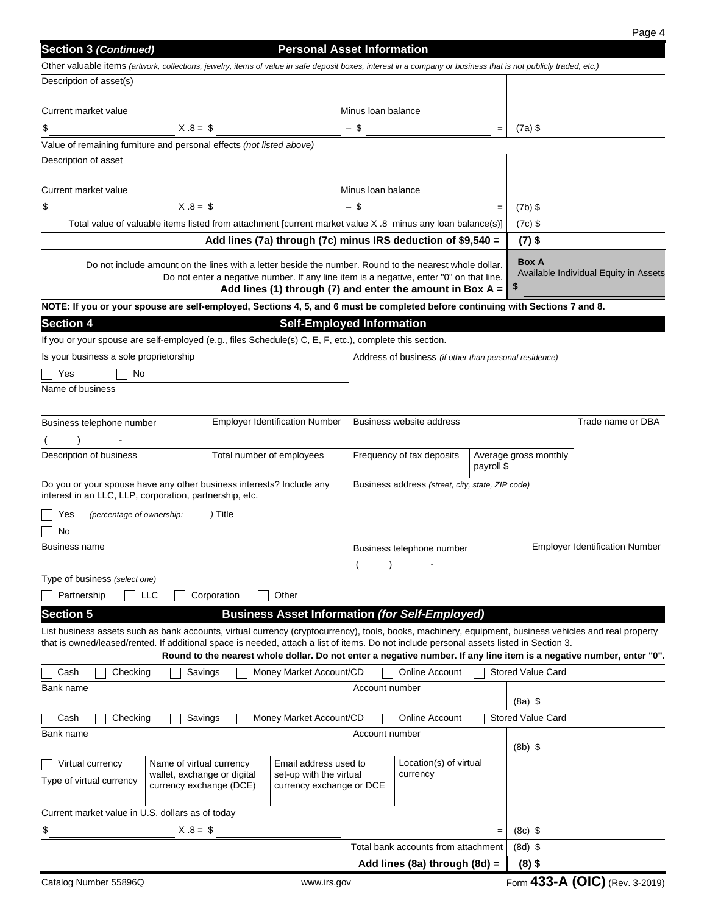| <b>Section 3 (Continued)</b>                                                                                                                                    |                                                                                                                                                                                                                                                                  | <b>Personal Asset Information</b>                            |                                                                    |                                                        |            |                          |                                                                                                                      |
|-----------------------------------------------------------------------------------------------------------------------------------------------------------------|------------------------------------------------------------------------------------------------------------------------------------------------------------------------------------------------------------------------------------------------------------------|--------------------------------------------------------------|--------------------------------------------------------------------|--------------------------------------------------------|------------|--------------------------|----------------------------------------------------------------------------------------------------------------------|
| Other valuable items (artwork, collections, jewelry, items of value in safe deposit boxes, interest in a company or business that is not publicly traded, etc.) |                                                                                                                                                                                                                                                                  |                                                              |                                                                    |                                                        |            |                          |                                                                                                                      |
| Description of asset(s)                                                                                                                                         |                                                                                                                                                                                                                                                                  |                                                              |                                                                    |                                                        |            |                          |                                                                                                                      |
| Current market value                                                                                                                                            |                                                                                                                                                                                                                                                                  |                                                              | Minus Ioan balance                                                 |                                                        |            |                          |                                                                                                                      |
| $X .8 = $$<br>\$                                                                                                                                                |                                                                                                                                                                                                                                                                  |                                                              | $-$ \$                                                             |                                                        | $=$        | $(7a)$ \$                |                                                                                                                      |
| Value of remaining furniture and personal effects (not listed above)                                                                                            |                                                                                                                                                                                                                                                                  |                                                              |                                                                    |                                                        |            |                          |                                                                                                                      |
| Description of asset                                                                                                                                            |                                                                                                                                                                                                                                                                  |                                                              |                                                                    |                                                        |            |                          |                                                                                                                      |
| Current market value                                                                                                                                            |                                                                                                                                                                                                                                                                  |                                                              | Minus Ioan balance                                                 |                                                        |            |                          |                                                                                                                      |
| $X.8 = $$<br>\$                                                                                                                                                 |                                                                                                                                                                                                                                                                  |                                                              | - \$                                                               |                                                        |            | $(7b)$ \$                |                                                                                                                      |
| Total value of valuable items listed from attachment [current market value X .8 minus any loan balance(s)]                                                      |                                                                                                                                                                                                                                                                  |                                                              |                                                                    |                                                        | $(7c)$ \$  |                          |                                                                                                                      |
|                                                                                                                                                                 |                                                                                                                                                                                                                                                                  | Add lines (7a) through (7c) minus IRS deduction of \$9,540 = |                                                                    |                                                        |            | $(7)$ \$                 |                                                                                                                      |
|                                                                                                                                                                 | Do not include amount on the lines with a letter beside the number. Round to the nearest whole dollar.<br>Do not enter a negative number. If any line item is a negative, enter "0" on that line.<br>Add lines (1) through (7) and enter the amount in Box $A =$ |                                                              |                                                                    |                                                        |            |                          | Available Individual Equity in Assets                                                                                |
| NOTE: If you or your spouse are self-employed, Sections 4, 5, and 6 must be completed before continuing with Sections 7 and 8.                                  |                                                                                                                                                                                                                                                                  |                                                              |                                                                    |                                                        |            |                          |                                                                                                                      |
| <b>Section 4</b>                                                                                                                                                |                                                                                                                                                                                                                                                                  | <b>Self-Employed Information</b>                             |                                                                    |                                                        |            |                          |                                                                                                                      |
| If you or your spouse are self-employed (e.g., files Schedule(s) C, E, F, etc.), complete this section.                                                         |                                                                                                                                                                                                                                                                  |                                                              |                                                                    |                                                        |            |                          |                                                                                                                      |
| Is your business a sole proprietorship                                                                                                                          |                                                                                                                                                                                                                                                                  |                                                              |                                                                    | Address of business (if other than personal residence) |            |                          |                                                                                                                      |
| No<br>Yes<br>Name of business                                                                                                                                   |                                                                                                                                                                                                                                                                  |                                                              |                                                                    |                                                        |            |                          |                                                                                                                      |
|                                                                                                                                                                 |                                                                                                                                                                                                                                                                  |                                                              |                                                                    |                                                        |            |                          |                                                                                                                      |
| Business telephone number                                                                                                                                       |                                                                                                                                                                                                                                                                  | <b>Employer Identification Number</b>                        | Business website address                                           |                                                        |            | Trade name or DBA        |                                                                                                                      |
|                                                                                                                                                                 |                                                                                                                                                                                                                                                                  |                                                              |                                                                    |                                                        |            |                          |                                                                                                                      |
| Description of business                                                                                                                                         | Total number of employees<br>Frequency of tax deposits                                                                                                                                                                                                           |                                                              |                                                                    | Average gross monthly                                  |            |                          |                                                                                                                      |
|                                                                                                                                                                 |                                                                                                                                                                                                                                                                  |                                                              |                                                                    |                                                        | payroll \$ |                          |                                                                                                                      |
| Do you or your spouse have any other business interests? Include any<br>interest in an LLC, LLP, corporation, partnership, etc.                                 |                                                                                                                                                                                                                                                                  |                                                              |                                                                    | Business address (street, city, state, ZIP code)       |            |                          |                                                                                                                      |
| (percentage of ownership:<br>Yes                                                                                                                                | ) Title                                                                                                                                                                                                                                                          |                                                              |                                                                    |                                                        |            |                          |                                                                                                                      |
| No                                                                                                                                                              |                                                                                                                                                                                                                                                                  |                                                              |                                                                    |                                                        |            |                          |                                                                                                                      |
| Business name                                                                                                                                                   |                                                                                                                                                                                                                                                                  |                                                              | <b>Employer Identification Number</b><br>Business telephone number |                                                        |            |                          |                                                                                                                      |
| Type of business (select one)                                                                                                                                   |                                                                                                                                                                                                                                                                  |                                                              |                                                                    |                                                        |            |                          |                                                                                                                      |
| Partnership<br><b>LLC</b>                                                                                                                                       | Corporation                                                                                                                                                                                                                                                      | Other                                                        |                                                                    |                                                        |            |                          |                                                                                                                      |
| <b>Section 5</b>                                                                                                                                                |                                                                                                                                                                                                                                                                  | <b>Business Asset Information (for Self-Employed)</b>        |                                                                    |                                                        |            |                          |                                                                                                                      |
| List business assets such as bank accounts, virtual currency (cryptocurrency), tools, books, machinery, equipment, business vehicles and real property          |                                                                                                                                                                                                                                                                  |                                                              |                                                                    |                                                        |            |                          |                                                                                                                      |
| that is owned/leased/rented. If additional space is needed, attach a list of items. Do not include personal assets listed in Section 3.                         |                                                                                                                                                                                                                                                                  |                                                              |                                                                    |                                                        |            |                          |                                                                                                                      |
|                                                                                                                                                                 |                                                                                                                                                                                                                                                                  |                                                              |                                                                    |                                                        |            |                          | Round to the nearest whole dollar. Do not enter a negative number. If any line item is a negative number, enter "0". |
| Cash<br>Checking                                                                                                                                                | Savings                                                                                                                                                                                                                                                          | Money Market Account/CD                                      |                                                                    | Online Account                                         |            | <b>Stored Value Card</b> |                                                                                                                      |
| Bank name                                                                                                                                                       |                                                                                                                                                                                                                                                                  |                                                              | Account number                                                     |                                                        |            | $(8a)$ \$                |                                                                                                                      |
| Cash<br>Checking                                                                                                                                                | Savings                                                                                                                                                                                                                                                          | Money Market Account/CD                                      |                                                                    | <b>Online Account</b>                                  |            | <b>Stored Value Card</b> |                                                                                                                      |
| Bank name                                                                                                                                                       |                                                                                                                                                                                                                                                                  |                                                              | Account number                                                     |                                                        |            |                          |                                                                                                                      |
|                                                                                                                                                                 |                                                                                                                                                                                                                                                                  |                                                              |                                                                    |                                                        |            | $(8b)$ \$                |                                                                                                                      |
| Name of virtual currency<br>Email address used to<br>Virtual currency<br>wallet, exchange or digital<br>set-up with the virtual                                 |                                                                                                                                                                                                                                                                  |                                                              |                                                                    | Location(s) of virtual<br>currency                     |            |                          |                                                                                                                      |
| Type of virtual currency<br>currency exchange (DCE)<br>currency exchange or DCE                                                                                 |                                                                                                                                                                                                                                                                  |                                                              |                                                                    |                                                        |            |                          |                                                                                                                      |
| Current market value in U.S. dollars as of today                                                                                                                |                                                                                                                                                                                                                                                                  |                                                              |                                                                    |                                                        |            |                          |                                                                                                                      |
| $X.8 = $$                                                                                                                                                       |                                                                                                                                                                                                                                                                  |                                                              |                                                                    |                                                        |            |                          |                                                                                                                      |
| \$                                                                                                                                                              |                                                                                                                                                                                                                                                                  |                                                              |                                                                    | Total bank accounts from attachment                    | $=$        | $(8c)$ \$                |                                                                                                                      |
|                                                                                                                                                                 |                                                                                                                                                                                                                                                                  |                                                              |                                                                    | Add lines (8a) through (8d) =                          |            | $(8d)$ \$<br>$(8)$ \$    |                                                                                                                      |
|                                                                                                                                                                 |                                                                                                                                                                                                                                                                  |                                                              |                                                                    |                                                        |            |                          |                                                                                                                      |
| Catalog Number 55896Q                                                                                                                                           |                                                                                                                                                                                                                                                                  | www.irs.gov                                                  |                                                                    |                                                        |            |                          | Form 433-A (OIC) (Rev. 3-2019)                                                                                       |

Page 4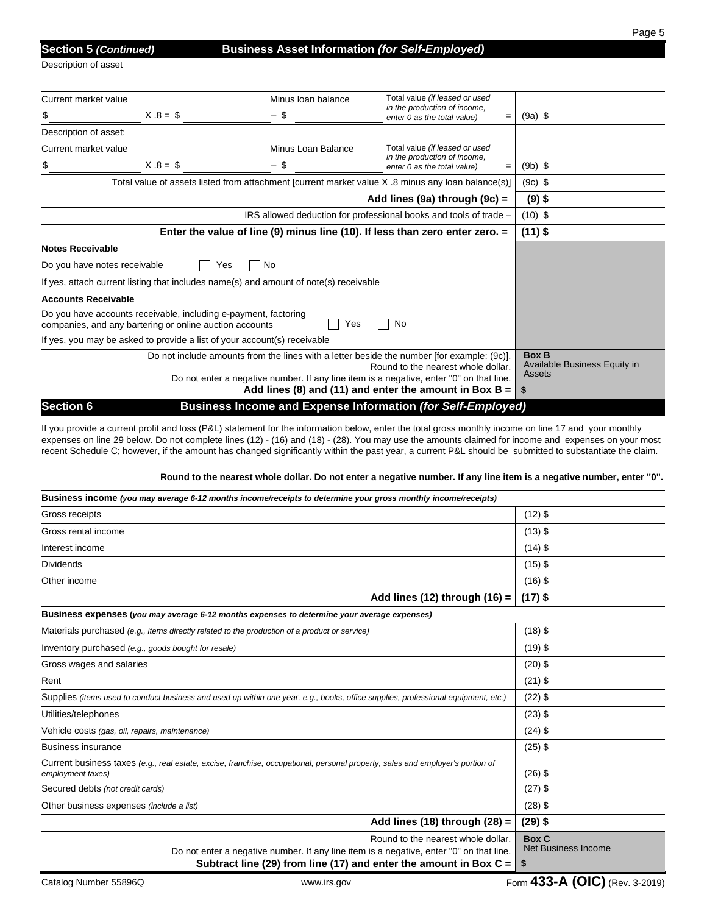Page 5

Description of asset

# **Section 5** *(Continued)* **Business Asset Information** *(for Self-Employed)*

| Current market value         |                                                                                                                            | Minus Ioan balance                                                                    | Total value (if leased or used                                                                     |           |
|------------------------------|----------------------------------------------------------------------------------------------------------------------------|---------------------------------------------------------------------------------------|----------------------------------------------------------------------------------------------------|-----------|
| \$                           | $X.8 = $$                                                                                                                  | - \$                                                                                  | in the production of income,<br>enter 0 as the total value)<br>$=$                                 | $(9a)$ \$ |
| Description of asset:        |                                                                                                                            |                                                                                       |                                                                                                    |           |
| Current market value         |                                                                                                                            | Minus Loan Balance                                                                    | Total value (if leased or used                                                                     |           |
| \$                           | $X.8 = $$                                                                                                                  | - \$                                                                                  | in the production of income,<br>enter 0 as the total value)<br>$=$                                 | $(9b)$ \$ |
|                              |                                                                                                                            |                                                                                       | Total value of assets listed from attachment [current market value X .8 minus any loan balance(s)] | $(9c)$ \$ |
|                              |                                                                                                                            |                                                                                       | Add lines (9a) through (9c) $=$                                                                    | $(9)$ \$  |
|                              |                                                                                                                            | $(10)$ \$                                                                             |                                                                                                    |           |
|                              | Enter the value of line (9) minus line (10). If less than zero enter zero. $=$                                             | $(11)$ \$                                                                             |                                                                                                    |           |
| <b>Notes Receivable</b>      |                                                                                                                            |                                                                                       |                                                                                                    |           |
| Do you have notes receivable | Yes                                                                                                                        | No                                                                                    |                                                                                                    |           |
|                              |                                                                                                                            | If yes, attach current listing that includes name(s) and amount of note(s) receivable |                                                                                                    |           |
| <b>Accounts Receivable</b>   |                                                                                                                            |                                                                                       |                                                                                                    |           |
|                              | Do you have accounts receivable, including e-payment, factoring<br>companies, and any bartering or online auction accounts |                                                                                       |                                                                                                    |           |
|                              | If yes, you may be asked to provide a list of your account(s) receivable                                                   |                                                                                       |                                                                                                    |           |
|                              | Do not include amounts from the lines with a letter beside the number [for example: (9c)].                                 | <b>Box B</b><br>Available Business Equity in<br>Assets                                |                                                                                                    |           |
|                              | Do not enter a negative number. If any line item is a negative, enter "0" on that line.                                    | Add lines (8) and (11) and enter the amount in Box B = $\vert$<br>\$                  |                                                                                                    |           |
| <b>Section 6</b>             |                                                                                                                            |                                                                                       | <b>Business Income and Expense Information (for Self-Employed)</b>                                 |           |

If you provide a current profit and loss (P&L) statement for the information below, enter the total gross monthly income on line 17 and your monthly expenses on line 29 below. Do not complete lines (12) - (16) and (18) - (28). You may use the amounts claimed for income and expenses on your most recent Schedule C; however, if the amount has changed significantly within the past year, a current P&L should be submitted to substantiate the claim.

#### **Round to the nearest whole dollar. Do not enter a negative number. If any line item is a negative number, enter "0".**

| Business income (you may average 6-12 months income/receipts to determine your gross monthly income/receipts)                                                                                          |                                                  |
|--------------------------------------------------------------------------------------------------------------------------------------------------------------------------------------------------------|--------------------------------------------------|
| Gross receipts                                                                                                                                                                                         | $(12)$ \$                                        |
| Gross rental income                                                                                                                                                                                    | $(13)$ \$                                        |
| Interest income                                                                                                                                                                                        | $(14)$ \$                                        |
| <b>Dividends</b>                                                                                                                                                                                       | $(15)$ \$                                        |
| Other income                                                                                                                                                                                           | $(16)$ \$                                        |
| Add lines $(12)$ through $(16)$ =                                                                                                                                                                      | $(17)$ \$                                        |
| Business expenses (you may average 6-12 months expenses to determine your average expenses)                                                                                                            |                                                  |
| Materials purchased (e.g., items directly related to the production of a product or service)                                                                                                           | $(18)$ \$                                        |
| Inventory purchased (e.g., goods bought for resale)                                                                                                                                                    | $(19)$ \$                                        |
| Gross wages and salaries                                                                                                                                                                               | $(20)$ \$                                        |
| Rent                                                                                                                                                                                                   | $(21)$ \$                                        |
| Supplies (items used to conduct business and used up within one year, e.g., books, office supplies, professional equipment, etc.)                                                                      | $(22)$ \$                                        |
| Utilities/telephones                                                                                                                                                                                   | $(23)$ \$                                        |
| Vehicle costs (gas, oil, repairs, maintenance)                                                                                                                                                         | $(24)$ \$                                        |
| <b>Business insurance</b>                                                                                                                                                                              | $(25)$ \$                                        |
| Current business taxes (e.g., real estate, excise, franchise, occupational, personal property, sales and employer's portion of<br>employment taxes)                                                    | $(26)$ \$                                        |
| Secured debts (not credit cards)                                                                                                                                                                       | $(27)$ \$                                        |
| Other business expenses (include a list)                                                                                                                                                               | $(28)$ \$                                        |
| Add lines $(18)$ through $(28)$ =                                                                                                                                                                      | $(29)$ \$                                        |
| Round to the nearest whole dollar.<br>Do not enter a negative number. If any line item is a negative, enter "0" on that line.<br>Subtract line (29) from line (17) and enter the amount in Box $C =  $ | <b>Box C</b><br><b>Net Business Income</b><br>\$ |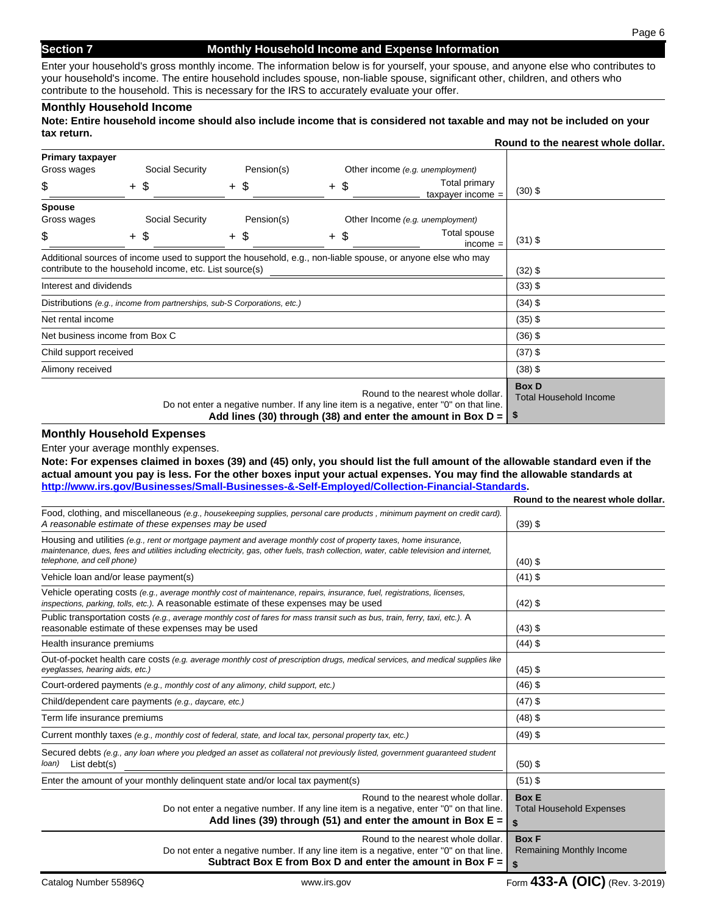# **Section 7** Monthly Household Income and Expense Information

Page 6

Enter your household's gross monthly income. The information below is for yourself, your spouse, and anyone else who contributes to your household's income. The entire household includes spouse, non-liable spouse, significant other, children, and others who contribute to the household. This is necessary for the IRS to accurately evaluate your offer.

## **Monthly Household Income**

**Note: Entire household income should also include income that is considered not taxable and may not be included on your tax return.** 

|                                                                                                                                                                                                            |                                                                                                             |                                                                          |  |            |                                               |                                  |                                      | Round to the nearest whole dollar. |
|------------------------------------------------------------------------------------------------------------------------------------------------------------------------------------------------------------|-------------------------------------------------------------------------------------------------------------|--------------------------------------------------------------------------|--|------------|-----------------------------------------------|----------------------------------|--------------------------------------|------------------------------------|
| Primary taxpayer                                                                                                                                                                                           |                                                                                                             |                                                                          |  |            |                                               |                                  |                                      |                                    |
| Gross wages                                                                                                                                                                                                |                                                                                                             | Social Security                                                          |  | Pension(s) |                                               | Other income (e.g. unemployment) |                                      |                                    |
| \$                                                                                                                                                                                                         |                                                                                                             | + \$                                                                     |  | + \$       | + \$                                          |                                  | Total primary<br>taxpayer income $=$ | $(30)$ \$                          |
| <b>Spouse</b>                                                                                                                                                                                              |                                                                                                             |                                                                          |  |            |                                               |                                  |                                      |                                    |
| Gross wages                                                                                                                                                                                                |                                                                                                             | Social Security                                                          |  | Pension(s) |                                               | Other Income (e.g. unemployment) |                                      |                                    |
| \$                                                                                                                                                                                                         |                                                                                                             | $+$ \$                                                                   |  | $+$ \$     | $+$ \$                                        |                                  | Total spouse<br>$income =$           | $(31)$ \$                          |
|                                                                                                                                                                                                            | Additional sources of income used to support the household, e.g., non-liable spouse, or anyone else who may |                                                                          |  |            |                                               |                                  |                                      |                                    |
| contribute to the household income, etc. List source(s)                                                                                                                                                    |                                                                                                             |                                                                          |  |            |                                               | $(32)$ \$                        |                                      |                                    |
| Interest and dividends                                                                                                                                                                                     |                                                                                                             |                                                                          |  |            |                                               | $(33)$ \$                        |                                      |                                    |
|                                                                                                                                                                                                            |                                                                                                             | Distributions (e.g., income from partnerships, sub-S Corporations, etc.) |  |            |                                               |                                  |                                      | $(34)$ \$                          |
| Net rental income                                                                                                                                                                                          |                                                                                                             |                                                                          |  |            |                                               | $(35)$ \$                        |                                      |                                    |
| Net business income from Box C                                                                                                                                                                             |                                                                                                             |                                                                          |  |            |                                               | $(36)$ \$                        |                                      |                                    |
| Child support received                                                                                                                                                                                     |                                                                                                             |                                                                          |  |            |                                               | $(37)$ \$                        |                                      |                                    |
| Alimony received                                                                                                                                                                                           |                                                                                                             |                                                                          |  |            | $(38)$ \$                                     |                                  |                                      |                                    |
| Round to the nearest whole dollar.<br>Do not enter a negative number. If any line item is a negative, enter "0" on that line.<br>Add lines (30) through (38) and enter the amount in Box $D = \frac{1}{2}$ |                                                                                                             |                                                                          |  |            | <b>Box D</b><br><b>Total Household Income</b> |                                  |                                      |                                    |

## **Monthly Household Expenses**

Enter your average monthly expenses.

**Note: For expenses claimed in boxes (39) and (45) only, you should list the full amount of the allowable standard even if the actual amount you pay is less. For the other boxes input your actual expenses. You may find the allowable standards at http://www.irs.gov/Businesses/Small-Businesses-&-Self-Employed/Collection-Financial-Standards.**

|                                                                                                                                                                                                                                                                                           | Round to the nearest whole dollar.                    |
|-------------------------------------------------------------------------------------------------------------------------------------------------------------------------------------------------------------------------------------------------------------------------------------------|-------------------------------------------------------|
| Food, clothing, and miscellaneous (e.g., housekeeping supplies, personal care products, minimum payment on credit card).<br>A reasonable estimate of these expenses may be used                                                                                                           | $(39)$ \$                                             |
| Housing and utilities (e.g., rent or mortgage payment and average monthly cost of property taxes, home insurance,<br>maintenance, dues, fees and utilities including electricity, gas, other fuels, trash collection, water, cable television and internet,<br>telephone, and cell phone) | $(40)$ \$                                             |
| Vehicle loan and/or lease payment(s)                                                                                                                                                                                                                                                      | $(41)$ \$                                             |
| Vehicle operating costs (e.g., average monthly cost of maintenance, repairs, insurance, fuel, registrations, licenses,<br>inspections, parking, tolls, etc.). A reasonable estimate of these expenses may be used                                                                         | $(42)$ \$                                             |
| Public transportation costs (e.g., average monthly cost of fares for mass transit such as bus, train, ferry, taxi, etc.). A<br>reasonable estimate of these expenses may be used                                                                                                          | $(43)$ \$                                             |
| Health insurance premiums                                                                                                                                                                                                                                                                 | $(44)$ \$                                             |
| Out-of-pocket health care costs (e.g. average monthly cost of prescription drugs, medical services, and medical supplies like<br>eyeglasses, hearing aids, etc.)                                                                                                                          | $(45)$ \$                                             |
| Court-ordered payments (e.g., monthly cost of any alimony, child support, etc.)                                                                                                                                                                                                           | $(46)$ \$                                             |
| Child/dependent care payments (e.g., daycare, etc.)                                                                                                                                                                                                                                       | $(47)$ \$                                             |
| Term life insurance premiums                                                                                                                                                                                                                                                              | $(48)$ \$                                             |
| Current monthly taxes (e.g., monthly cost of federal, state, and local tax, personal property tax, etc.)                                                                                                                                                                                  | $(49)$ \$                                             |
| Secured debts (e.g., any loan where you pledged an asset as collateral not previously listed, government guaranteed student<br>$\langle \text{loan} \rangle$ List debt(s)                                                                                                                 | $(50)$ \$                                             |
| Enter the amount of your monthly delinguent state and/or local tax payment(s)                                                                                                                                                                                                             | $(51)$ \$                                             |
| Round to the nearest whole dollar.<br>Do not enter a negative number. If any line item is a negative, enter "0" on that line.<br>Add lines (39) through (51) and enter the amount in Box $E =$                                                                                            | <b>Box E</b><br><b>Total Household Expenses</b><br>\$ |
| Round to the nearest whole dollar.<br>Do not enter a negative number. If any line item is a negative, enter "0" on that line.<br>Subtract Box E from Box D and enter the amount in Box $F =  $                                                                                            | <b>Box F</b><br>Remaining Monthly Income<br>\$        |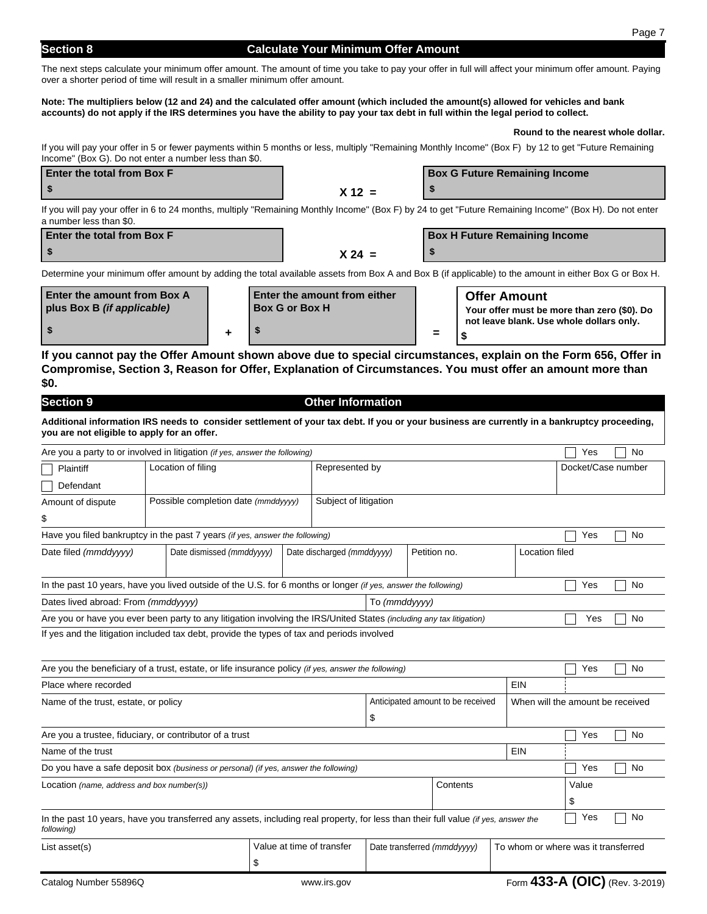## **Section 8 Calculate Your Minimum Offer Amount**

The next steps calculate your minimum offer amount. The amount of time you take to pay your offer in full will affect your minimum offer amount. Paying over a shorter period of time will result in a smaller minimum offer amount.

#### **Note: The multipliers below (12 and 24) and the calculated offer amount (which included the amount(s) allowed for vehicles and bank accounts) do not apply if the IRS determines you have the ability to pay your tax debt in full within the legal period to collect.**

## **Round to the nearest whole dollar.**

If you will pay your offer in 5 or fewer payments within 5 months or less, multiply "Remaining Monthly Income" (Box F) by 12 to get "Future Remaining Income" (Box G). Do not enter a number less than \$0.

| <b>Enter the total from Box F</b>                                                                                                                           |          | <b>Box G Future Remaining Income</b> |  |  |  |  |
|-------------------------------------------------------------------------------------------------------------------------------------------------------------|----------|--------------------------------------|--|--|--|--|
|                                                                                                                                                             | $X 12 =$ |                                      |  |  |  |  |
| $\mathbf{u} = \mathbf{u}$ . The contract $\mathbf{u} = \mathbf{u}$ is the contract of $\mathbf{u} = \mathbf{u}$ . The contract of $\mathbf{u} = \mathbf{u}$ |          |                                      |  |  |  |  |

If you will pay your offer in 6 to 24 months, multiply "Remaining Monthly Income" (Box F) by 24 to get "Future Remaining Income" (Box H). Do not enter a number less than \$0.

| <b>Enter the total from Box F</b> |          | <b>Box H Future Remaining Income</b> |
|-----------------------------------|----------|--------------------------------------|
|                                   | $X 24 =$ |                                      |

Determine your minimum offer amount by adding the total available assets from Box A and Box B (if applicable) to the amount in either Box G or Box H.

| Enter the amount from Box A<br>plus Box B <i>(if applicable)</i> | <b>Enter the amount from either</b><br><b>Box G or Box H</b> |          | <b>Offer Amount</b><br>Your offer must be more than zero (\$0). Do |
|------------------------------------------------------------------|--------------------------------------------------------------|----------|--------------------------------------------------------------------|
|                                                                  |                                                              | $\equiv$ | not leave blank. Use whole dollars only.                           |

**If you cannot pay the Offer Amount shown above due to special circumstances, explain on the Form 656, Offer in Compromise, Section 3, Reason for Offer, Explanation of Circumstances. You must offer an amount more than \$0.**

| <b>Section 9</b>                                                                                                                                                                                  |                    |                                     |                            | <b>Other Information</b>  |                                  |                             |     |                                     |    |
|---------------------------------------------------------------------------------------------------------------------------------------------------------------------------------------------------|--------------------|-------------------------------------|----------------------------|---------------------------|----------------------------------|-----------------------------|-----|-------------------------------------|----|
| Additional information IRS needs to consider settlement of your tax debt. If you or your business are currently in a bankruptcy proceeding,<br>you are not eligible to apply for an offer.        |                    |                                     |                            |                           |                                  |                             |     |                                     |    |
| Are you a party to or involved in litigation (if yes, answer the following)                                                                                                                       |                    |                                     |                            |                           |                                  |                             |     | Yes                                 | No |
| <b>Plaintiff</b>                                                                                                                                                                                  | Location of filing |                                     |                            | Represented by            |                                  |                             |     | Docket/Case number                  |    |
| Defendant                                                                                                                                                                                         |                    |                                     |                            |                           |                                  |                             |     |                                     |    |
| Amount of dispute                                                                                                                                                                                 |                    | Possible completion date (mmddyyyy) |                            | Subject of litigation     |                                  |                             |     |                                     |    |
| \$                                                                                                                                                                                                |                    |                                     |                            |                           |                                  |                             |     |                                     |    |
| Have you filed bankruptcy in the past 7 years (if yes, answer the following)                                                                                                                      |                    |                                     |                            |                           |                                  |                             |     | Yes                                 | No |
| Date dismissed (mmddyyyy)<br>Date filed (mmddyyyy)                                                                                                                                                |                    |                                     | Date discharged (mmddyyyy) |                           | Petition no.                     | Location filed              |     |                                     |    |
| In the past 10 years, have you lived outside of the U.S. for 6 months or longer (if yes, answer the following)                                                                                    |                    |                                     |                            |                           |                                  |                             |     | Yes                                 | No |
| Dates lived abroad: From (mmddyyyy)                                                                                                                                                               |                    |                                     |                            |                           | To (mmddvvvv)                    |                             |     |                                     |    |
| Are you or have you ever been party to any litigation involving the IRS/United States (including any tax litigation)                                                                              |                    |                                     |                            |                           |                                  |                             |     | Yes                                 | No |
| If yes and the litigation included tax debt, provide the types of tax and periods involved<br>Are you the beneficiary of a trust, estate, or life insurance policy (if yes, answer the following) |                    |                                     |                            |                           |                                  |                             |     | Yes                                 | No |
| Place where recorded                                                                                                                                                                              |                    |                                     |                            |                           |                                  |                             | EIN |                                     |    |
| Anticipated amount to be received<br>Name of the trust, estate, or policy<br>\$                                                                                                                   |                    |                                     |                            |                           | When will the amount be received |                             |     |                                     |    |
| Are you a trustee, fiduciary, or contributor of a trust                                                                                                                                           |                    |                                     |                            |                           |                                  |                             |     | Yes                                 | No |
| Name of the trust                                                                                                                                                                                 |                    |                                     |                            |                           |                                  |                             | EIN |                                     |    |
| Do you have a safe deposit box (business or personal) (if yes, answer the following)                                                                                                              |                    |                                     |                            |                           | Yes                              | No                          |     |                                     |    |
| Location (name, address and box number(s))<br>Contents                                                                                                                                            |                    |                                     |                            |                           | Value                            |                             |     |                                     |    |
|                                                                                                                                                                                                   |                    |                                     |                            |                           |                                  |                             |     | \$                                  |    |
| In the past 10 years, have you transferred any assets, including real property, for less than their full value (if yes, answer the<br>following)                                                  |                    |                                     |                            |                           |                                  |                             |     | Yes                                 | No |
| List asset(s)                                                                                                                                                                                     |                    |                                     |                            | Value at time of transfer |                                  | Date transferred (mmddyyyy) |     | To whom or where was it transferred |    |
|                                                                                                                                                                                                   |                    | \$                                  |                            |                           |                                  |                             |     |                                     |    |
| Catalog Number 55896Q                                                                                                                                                                             |                    |                                     |                            | www.irs.gov               |                                  |                             |     | Form 433-A (OIC) (Rev. 3-2019)      |    |